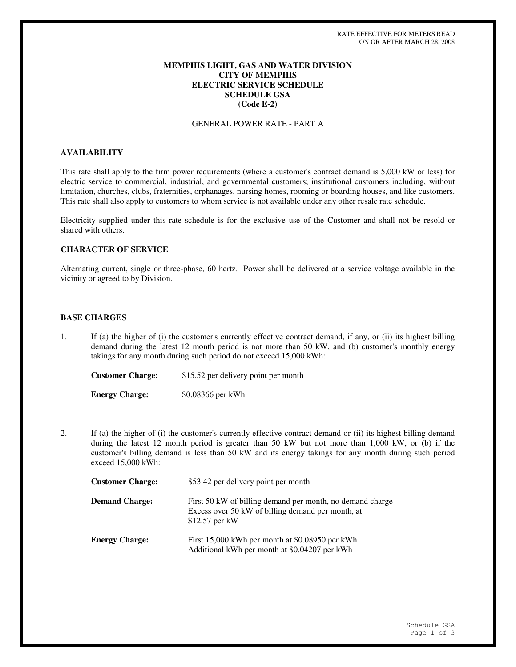## **MEMPHIS LIGHT, GAS AND WATER DIVISION CITY OF MEMPHIS ELECTRIC SERVICE SCHEDULE SCHEDULE GSA (Code E-2)**

### GENERAL POWER RATE - PART A

# **AVAILABILITY**

This rate shall apply to the firm power requirements (where a customer's contract demand is 5,000 kW or less) for electric service to commercial, industrial, and governmental customers; institutional customers including, without limitation, churches, clubs, fraternities, orphanages, nursing homes, rooming or boarding houses, and like customers. This rate shall also apply to customers to whom service is not available under any other resale rate schedule.

Electricity supplied under this rate schedule is for the exclusive use of the Customer and shall not be resold or shared with others.

# **CHARACTER OF SERVICE**

Alternating current, single or three-phase, 60 hertz. Power shall be delivered at a service voltage available in the vicinity or agreed to by Division.

## **BASE CHARGES**

1. If (a) the higher of (i) the customer's currently effective contract demand, if any, or (ii) its highest billing demand during the latest 12 month period is not more than 50 kW, and (b) customer's monthly energy takings for any month during such period do not exceed 15,000 kWh:

**Customer Charge:** \$15.52 per delivery point per month **Energy Charge:** \$0.08366 per kWh

2. If (a) the higher of (i) the customer's currently effective contract demand or (ii) its highest billing demand during the latest 12 month period is greater than 50 kW but not more than 1,000 kW, or (b) if the customer's billing demand is less than 50 kW and its energy takings for any month during such period exceed 15,000 kWh:

| <b>Customer Charge:</b> | \$53.42 per delivery point per month                                                                                              |
|-------------------------|-----------------------------------------------------------------------------------------------------------------------------------|
| <b>Demand Charge:</b>   | First 50 kW of billing demand per month, no demand charge<br>Excess over 50 kW of billing demand per month, at<br>$$12.57$ per kW |
| <b>Energy Charge:</b>   | First 15,000 kWh per month at \$0.08950 per kWh<br>Additional kWh per month at \$0.04207 per kWh                                  |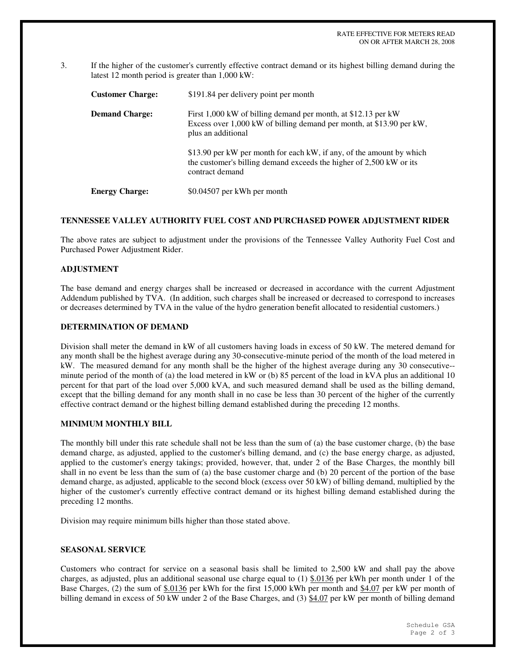3. If the higher of the customer's currently effective contract demand or its highest billing demand during the latest 12 month period is greater than 1,000 kW:

| <b>Customer Charge:</b> | \$191.84 per delivery point per month                                                                                                                          |
|-------------------------|----------------------------------------------------------------------------------------------------------------------------------------------------------------|
| <b>Demand Charge:</b>   | First 1,000 kW of billing demand per month, at \$12.13 per kW<br>Excess over 1,000 kW of billing demand per month, at \$13.90 per kW,<br>plus an additional    |
|                         | \$13.90 per kW per month for each kW, if any, of the amount by which<br>the customer's billing demand exceeds the higher of 2,500 kW or its<br>contract demand |
| <b>Energy Charge:</b>   | \$0.04507 per kWh per month                                                                                                                                    |

### **TENNESSEE VALLEY AUTHORITY FUEL COST AND PURCHASED POWER ADJUSTMENT RIDER**

The above rates are subject to adjustment under the provisions of the Tennessee Valley Authority Fuel Cost and Purchased Power Adjustment Rider.

# **ADJUSTMENT**

The base demand and energy charges shall be increased or decreased in accordance with the current Adjustment Addendum published by TVA. (In addition, such charges shall be increased or decreased to correspond to increases or decreases determined by TVA in the value of the hydro generation benefit allocated to residential customers.)

## **DETERMINATION OF DEMAND**

Division shall meter the demand in kW of all customers having loads in excess of 50 kW. The metered demand for any month shall be the highest average during any 30-consecutive-minute period of the month of the load metered in kW. The measured demand for any month shall be the higher of the highest average during any 30 consecutive- minute period of the month of (a) the load metered in kW or (b) 85 percent of the load in kVA plus an additional 10 percent for that part of the load over 5,000 kVA, and such measured demand shall be used as the billing demand, except that the billing demand for any month shall in no case be less than 30 percent of the higher of the currently effective contract demand or the highest billing demand established during the preceding 12 months.

### **MINIMUM MONTHLY BILL**

The monthly bill under this rate schedule shall not be less than the sum of (a) the base customer charge, (b) the base demand charge, as adjusted, applied to the customer's billing demand, and (c) the base energy charge, as adjusted, applied to the customer's energy takings; provided, however, that, under 2 of the Base Charges, the monthly bill shall in no event be less than the sum of (a) the base customer charge and (b) 20 percent of the portion of the base demand charge, as adjusted, applicable to the second block (excess over 50 kW) of billing demand, multiplied by the higher of the customer's currently effective contract demand or its highest billing demand established during the preceding 12 months.

Division may require minimum bills higher than those stated above.

### **SEASONAL SERVICE**

Customers who contract for service on a seasonal basis shall be limited to 2,500 kW and shall pay the above charges, as adjusted, plus an additional seasonal use charge equal to  $(1)$  \$.0136 per kWh per month under 1 of the Base Charges, (2) the sum of \$.0136 per kWh for the first 15,000 kWh per month and \$4.07 per kW per month of billing demand in excess of 50 kW under 2 of the Base Charges, and (3) \$4.07 per kW per month of billing demand